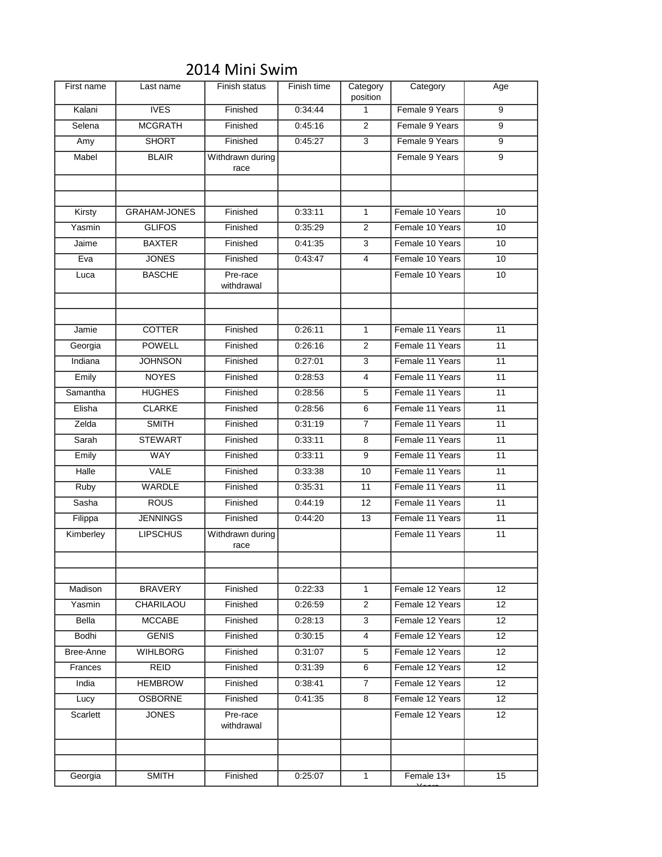| First name | Last name           | Finish status            | Finish time | Category<br>position | Category        | Age |
|------------|---------------------|--------------------------|-------------|----------------------|-----------------|-----|
| Kalani     | <b>IVES</b>         | Finished                 | 0:34:44     | 1                    | Female 9 Years  | 9   |
| Selena     | <b>MCGRATH</b>      | Finished                 | 0:45:16     | 2                    | Female 9 Years  | 9   |
| Amy        | SHORT               | Finished                 | 0:45:27     | 3                    | Female 9 Years  | 9   |
| Mabel      | <b>BLAIR</b>        | Withdrawn during<br>race |             |                      | Female 9 Years  | 9   |
|            |                     |                          |             |                      |                 |     |
|            |                     |                          |             |                      |                 |     |
| Kirsty     | <b>GRAHAM-JONES</b> | Finished                 | 0:33:11     | $\mathbf{1}$         | Female 10 Years | 10  |
| Yasmin     | <b>GLIFOS</b>       | Finished                 | 0:35:29     | 2                    | Female 10 Years | 10  |
| Jaime      | <b>BAXTER</b>       | Finished                 | 0.41:35     | 3                    | Female 10 Years | 10  |
| Eva        | <b>JONES</b>        | Finished                 | 0:43:47     | 4                    | Female 10 Years | 10  |
| Luca       | <b>BASCHE</b>       | Pre-race<br>withdrawal   |             |                      | Female 10 Years | 10  |
|            |                     |                          |             |                      |                 |     |
| Jamie      | <b>COTTER</b>       | Finished                 | 0:26:11     | $\mathbf{1}$         | Female 11 Years | 11  |
| Georgia    | <b>POWELL</b>       | Finished                 | 0:26:16     | 2                    | Female 11 Years | 11  |
| Indiana    | <b>JOHNSON</b>      | Finished                 | 0:27:01     | 3                    | Female 11 Years | 11  |
| Emily      | <b>NOYES</b>        | Finished                 | 0:28:53     | 4                    | Female 11 Years | 11  |
| Samantha   | <b>HUGHES</b>       | Finished                 | 0:28:56     | 5                    | Female 11 Years | 11  |
| Elisha     | <b>CLARKE</b>       | Finished                 | 0:28:56     | 6                    | Female 11 Years | 11  |
| Zelda      | <b>SMITH</b>        | Finished                 | 0:31:19     | $\overline{7}$       | Female 11 Years | 11  |
| Sarah      | <b>STEWART</b>      | Finished                 | 0:33:11     | 8                    | Female 11 Years | 11  |
| Emily      | <b>WAY</b>          | Finished                 | 0:33:11     | 9                    | Female 11 Years | 11  |
| Halle      | VALE                | Finished                 | 0:33:38     | 10                   | Female 11 Years | 11  |
| Ruby       | <b>WARDLE</b>       | Finished                 | 0:35:31     | 11                   | Female 11 Years | 11  |
| Sasha      | <b>ROUS</b>         | Finished                 | 0.44:19     | $12 \overline{ }$    | Female 11 Years | 11  |
| Filippa    | <b>JENNINGS</b>     | Finished                 | 0:44:20     | 13                   | Female 11 Years | 11  |
| Kimberley  | <b>LIPSCHUS</b>     | Withdrawn during<br>race |             |                      | Female 11 Years | 11  |
|            |                     |                          |             |                      |                 |     |
|            |                     |                          |             |                      |                 |     |
| Madison    | <b>BRAVERY</b>      | Finished                 | 0:22:33     | 1                    | Female 12 Years | 12  |
| Yasmin     | CHARILAOU           | Finished                 | 0:26:59     | 2                    | Female 12 Years | 12  |
| Bella      | <b>MCCABE</b>       | Finished                 | 0:28:13     | 3                    | Female 12 Years | 12  |
| Bodhi      | <b>GENIS</b>        | Finished                 | 0:30:15     | 4                    | Female 12 Years | 12  |
| Bree-Anne  | <b>WIHLBORG</b>     | Finished                 | 0:31:07     | 5                    | Female 12 Years | 12  |
| Frances    | <b>REID</b>         | Finished                 | 0:31:39     | 6                    | Female 12 Years | 12  |
| India      | <b>HEMBROW</b>      | Finished                 | 0:38:41     | 7                    | Female 12 Years | 12  |
| Lucy       | <b>OSBORNE</b>      | Finished                 | 0:41:35     | 8                    | Female 12 Years | 12  |
| Scarlett   | <b>JONES</b>        | Pre-race<br>withdrawal   |             |                      | Female 12 Years | 12  |
|            |                     |                          |             |                      |                 |     |
| Georgia    | <b>SMITH</b>        | Finished                 | 0.25:07     | $\mathbf{1}$         | Female 13+      | 15  |
|            |                     |                          |             |                      |                 |     |

Years

## 2014 Mini Swim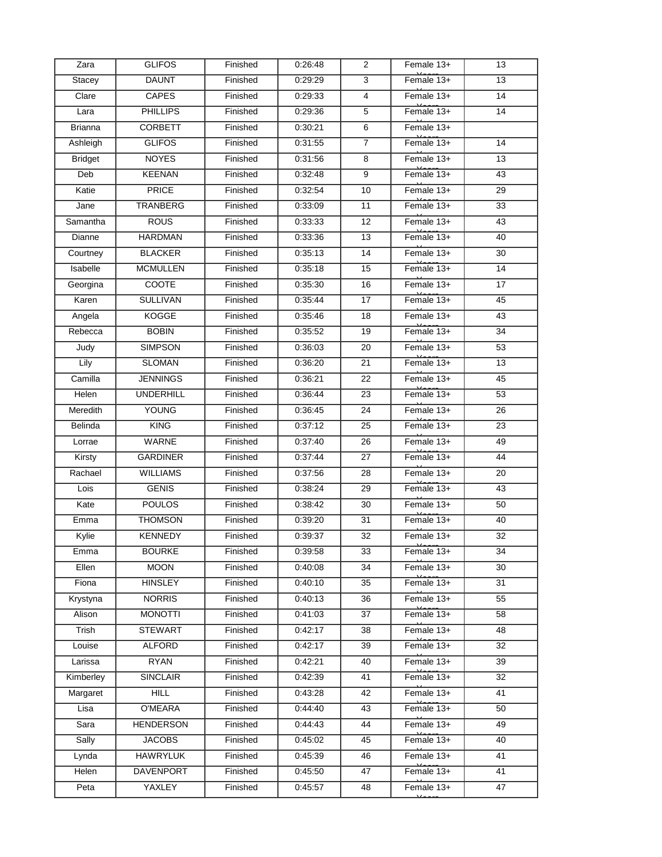| Zara           | <b>GLIFOS</b>    | Finished | 0.26.48 | $\overline{2}$ | Female 13+ | 13              |
|----------------|------------------|----------|---------|----------------|------------|-----------------|
| Stacey         | <b>DAUNT</b>     | Finished | 0:29:29 | 3              | Female 13+ | 13              |
| Clare          | <b>CAPES</b>     | Finished | 0:29:33 | $\overline{4}$ | Female 13+ | 14              |
| Lara           | <b>PHILLIPS</b>  | Finished | 0:29:36 | 5              | Female 13+ | 14              |
| <b>Brianna</b> | <b>CORBETT</b>   | Finished | 0:30:21 | 6              | Female 13+ |                 |
| Ashleigh       | <b>GLIFOS</b>    | Finished | 0:31:55 | 7              | Female 13+ | 14              |
| <b>Bridget</b> | <b>NOYES</b>     | Finished | 0:31:56 | 8              | Female 13+ | 13              |
| Deb            | KEENAN           | Finished | 0.32:48 | 9              | Female 13+ | 43              |
| Katie          | <b>PRICE</b>     | Finished | 0:32:54 | 10             | Female 13+ | 29              |
| Jane           | TRANBERG         | Finished | 0:33:09 | 11             | Female 13+ | 33              |
| Samantha       | <b>ROUS</b>      | Finished | 0:33:33 | 12             | Female 13+ | 43              |
| Dianne         | <b>HARDMAN</b>   | Finished | 0:33:36 | 13             | Female 13+ | $\overline{40}$ |
| Courtney       | <b>BLACKER</b>   | Finished | 0:35:13 | 14             | Female 13+ | 30              |
| Isabelle       | <b>MCMULLEN</b>  | Finished | 0:35:18 | 15             | Female 13+ | $\overline{14}$ |
| Georgina       | COOTE            | Finished | 0:35:30 | 16             | Female 13+ | 17              |
| Karen          | <b>SULLIVAN</b>  | Finished | 0:35:44 | 17             | Female 13+ | 45              |
| Angela         | KOGGE            | Finished | 0:35:46 | 18             | Female 13+ | 43              |
| Rebecca        | <b>BOBIN</b>     | Finished | 0:35:52 | 19             | Female 13+ | 34              |
| Judy           | <b>SIMPSON</b>   | Finished | 0:36:03 | 20             | Female 13+ | $\overline{53}$ |
| Lily           | <b>SLOMAN</b>    | Finished | 0:36:20 | 21             | Female 13+ | 13              |
| Camilla        | <b>JENNINGS</b>  | Finished | 0:36:21 | 22             | Female 13+ | 45              |
| <b>Helen</b>   | <b>UNDERHILL</b> | Finished | 0:36:44 | 23             | Female 13+ | $\overline{53}$ |
| Meredith       | <b>YOUNG</b>     | Finished | 0:36:45 | 24             | Female 13+ | 26              |
| Belinda        | <b>KING</b>      | Finished | 0.37:12 | 25             | Female 13+ | 23              |
| Lorrae         | WARNE            | Finished | 0.37:40 | 26             | Female 13+ | 49              |
| Kirsty         | <b>GARDINER</b>  | Finished | 0.37:44 | 27             | Female 13+ | 44              |
| Rachael        | <b>WILLIAMS</b>  | Finished | 0.37:56 | 28             | Female 13+ | 20              |
| Lois           | <b>GENIS</b>     | Finished | 0:38:24 | 29             | Female 13+ | 43              |
| Kate           | <b>POULOS</b>    | Finished | 0:38:42 | 30             | Female 13+ | 50              |
| Emma           | <b>THOMSON</b>   | Finished | 0:39:20 | 31             | Female 13+ | 40              |
| Kylie          | <b>KENNEDY</b>   | Finished | 0:39:37 | 32             | Female 13+ | 32              |
| Emma           | <b>BOURKE</b>    | Finished | 0.39.58 | 33             | Female 13+ | 34              |
| Ellen          | <b>MOON</b>      | Finished | 0.40.08 | 34             | Female 13+ | 30              |
| Fiona          | <b>HINSLEY</b>   | Finished | 0:40:10 | 35             | Female 13+ | 31              |
| Krystyna       | <b>NORRIS</b>    | Finished | 0:40:13 | 36             | Female 13+ | 55              |
| Alison         | <b>MONOTTI</b>   | Finished | 0.41:03 | 37             | Female 13+ | 58              |
| Trish          | <b>STEWART</b>   | Finished | 0.42:17 | 38             | Female 13+ | 48              |
| Louise         | <b>ALFORD</b>    | Finished | 0.42:17 | 39             | Female 13+ | 32              |
| Larissa        | <b>RYAN</b>      | Finished | 0:42:21 | 40             | Female 13+ | 39              |
| Kimberley      | <b>SINCLAIR</b>  | Finished | 0:42:39 | 41             | Female 13+ | 32              |
| Margaret       | <b>HILL</b>      | Finished | 0:43:28 | 42             | Female 13+ | $\overline{41}$ |
| Lisa           | O'MEARA          | Finished | 0.44:40 | 43             | Female 13+ | 50              |
| Sara           | <b>HENDERSON</b> | Finished | 0.44.43 | 44             | Female 13+ | 49              |
| Sally          | <b>JACOBS</b>    | Finished | 0:45:02 | 45             | Female 13+ | 40              |
| Lynda          | <b>HAWRYLUK</b>  | Finished | 0:45:39 | 46             | Female 13+ | 41              |
| Helen          | DAVENPORT        | Finished | 0.45.50 | 47             | Female 13+ | 41              |
| Peta           | YAXLEY           | Finished | 0.45.57 | 48             | Female 13+ | 47              |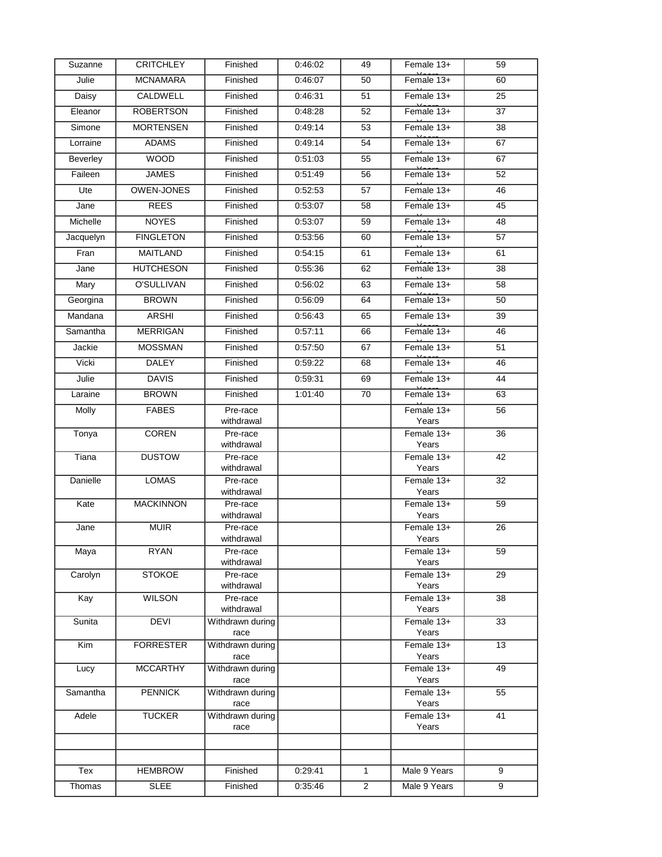| Suzanne   | <b>CRITCHLEY</b>  | Finished                 | 0:46:02 | 49             | Female 13+          | 59              |
|-----------|-------------------|--------------------------|---------|----------------|---------------------|-----------------|
| Julie     | <b>MCNAMARA</b>   | Finished                 | 0:46:07 | 50             | Female $13+$        | 60              |
| Daisy     | CALDWELL          | Finished                 | 0:46:31 | 51             | Female 13+          | 25              |
| Eleanor   | <b>ROBERTSON</b>  | Finished                 | 0:48:28 | 52             | Female 13+          | 37              |
| Simone    | <b>MORTENSEN</b>  | Finished                 | 0:49:14 | 53             | Female 13+          | 38              |
| Lorraine  | <b>ADAMS</b>      | Finished                 | 0:49:14 | 54             | Female 13+          | 67              |
| Beverley  | <b>WOOD</b>       | Finished                 | 0:51:03 | 55             | Female 13+          | 67              |
| Faileen   | <b>JAMES</b>      | Finished                 | 0:51:49 | 56             | Female 13+          | 52              |
| Ute       | <b>OWEN-JONES</b> | Finished                 | 0:52:53 | 57             | Female 13+          | 46              |
| Jane      | <b>REES</b>       | Finished                 | 0:53:07 | 58             | Female 13+          | 45              |
| Michelle  | <b>NOYES</b>      | Finished                 | 0:53:07 | 59             | Female 13+          | 48              |
| Jacquelyn | <b>FINGLETON</b>  | Finished                 | 0:53:56 | 60             | Female 13+          | $\overline{57}$ |
| Fran      | <b>MAITLAND</b>   | Finished                 | 0:54:15 | 61             | Female 13+          | 61              |
| Jane      | <b>HUTCHESON</b>  | Finished                 | 0:55:36 | 62             | Female 13+          | 38              |
| Mary      | O'SULLIVAN        | Finished                 | 0:56:02 | 63             | Female 13+          | 58              |
| Georgina  | <b>BROWN</b>      | Finished                 | 0:56:09 | 64             | Female 13+          | 50              |
| Mandana   | <b>ARSHI</b>      | Finished                 | 0:56:43 | 65             | Female 13+          | 39              |
| Samantha  | <b>MERRIGAN</b>   | Finished                 | 0:57:11 | 66             | Female 13+          | 46              |
| Jackie    | <b>MOSSMAN</b>    | Finished                 | 0.57:50 | 67             | Female 13+          | $\overline{51}$ |
| Vicki     | <b>DALEY</b>      | Finished                 | 0:59:22 | 68             | Female 13+          | 46              |
| Julie     | <b>DAVIS</b>      | Finished                 | 0:59:31 | 69             | Female 13+          | 44              |
| Laraine   | <b>BROWN</b>      | Finished                 | 1:01:40 | 70             | Female 13+          | 63              |
| Molly     | <b>FABES</b>      | Pre-race<br>withdrawal   |         |                | Female 13+<br>Years | 56              |
| Tonya     | <b>COREN</b>      | Pre-race<br>withdrawal   |         |                | Female 13+<br>Years | $\overline{36}$ |
| Tiana     | <b>DUSTOW</b>     | Pre-race<br>withdrawal   |         |                | Female 13+<br>Years | $\overline{42}$ |
| Danielle  | <b>LOMAS</b>      | Pre-race<br>withdrawal   |         |                | Female 13+<br>Years | 32              |
| Kate      | <b>MACKINNON</b>  | Pre-race<br>withdrawal   |         |                | Female 13+<br>Years | 59              |
| Jane      | <b>MUIR</b>       | Pre-race<br>withdrawal   |         |                | Female 13+<br>Years | 26              |
| Maya      | <b>RYAN</b>       | Pre-race<br>withdrawal   |         |                | Female 13+<br>Years | 59              |
| Carolyn   | <b>STOKOE</b>     | Pre-race<br>withdrawal   |         |                | Female 13+<br>Years | 29              |
| Kay       | <b>WILSON</b>     | Pre-race<br>withdrawal   |         |                | Female 13+<br>Years | 38              |
| Sunita    | <b>DEVI</b>       | Withdrawn during<br>race |         |                | Female 13+<br>Years | 33              |
| Kim       | <b>FORRESTER</b>  | Withdrawn during<br>race |         |                | Female 13+<br>Years | 13              |
| Lucy      | <b>MCCARTHY</b>   | Withdrawn during<br>race |         |                | Female 13+<br>Years | 49              |
| Samantha  | <b>PENNICK</b>    | Withdrawn during<br>race |         |                | Female 13+<br>Years | 55              |
| Adele     | <b>TUCKER</b>     | Withdrawn during<br>race |         |                | Female 13+<br>Years | 41              |
|           |                   |                          |         |                |                     |                 |
|           |                   |                          |         |                |                     |                 |
| Tex       | <b>HEMBROW</b>    | Finished                 | 0:29:41 | $\mathbf{1}$   | Male 9 Years        | 9               |
| Thomas    | <b>SLEE</b>       | Finished                 | 0.35.46 | $\overline{c}$ | Male 9 Years        | 9               |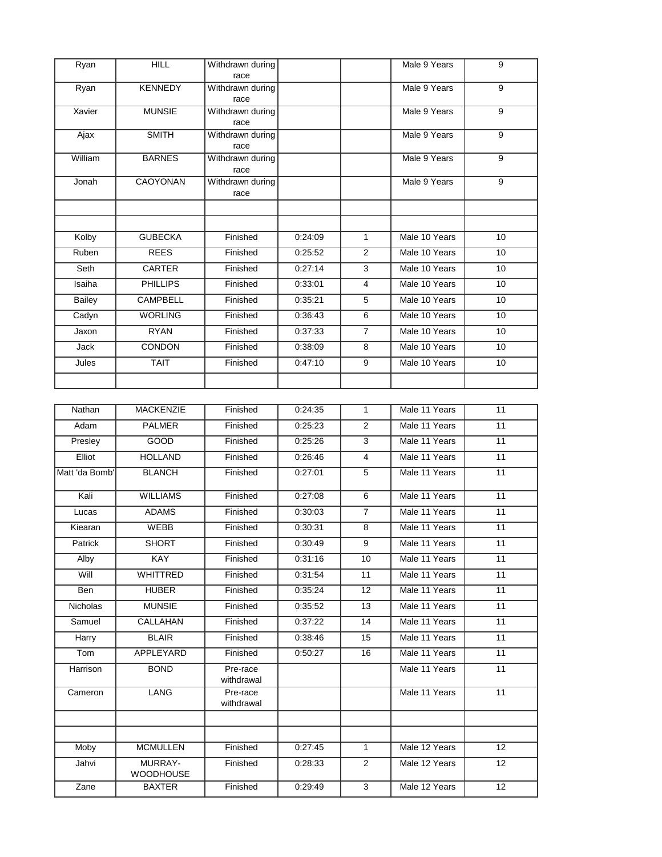| Ryan           | <b>HILL</b>                 | Withdrawn during<br>race |         |                | Male 9 Years  | 9               |
|----------------|-----------------------------|--------------------------|---------|----------------|---------------|-----------------|
| Ryan           | <b>KENNEDY</b>              | Withdrawn during<br>race |         |                | Male 9 Years  | $\overline{9}$  |
| Xavier         | <b>MUNSIE</b>               | Withdrawn during<br>race |         |                | Male 9 Years  | $\overline{9}$  |
| Ajax           | <b>SMITH</b>                | Withdrawn during<br>race |         |                | Male 9 Years  | $\overline{9}$  |
| William        | <b>BARNES</b>               | Withdrawn during<br>race |         |                | Male 9 Years  | $\overline{9}$  |
| Jonah          | CAOYONAN                    | Withdrawn during<br>race |         |                | Male 9 Years  | 9               |
|                |                             |                          |         |                |               |                 |
| Kolby          | <b>GUBECKA</b>              | Finished                 | 0:24:09 | $\mathbf{1}$   | Male 10 Years | 10              |
| Ruben          | <b>REES</b>                 | Finished                 | 0:25:52 | 2              | Male 10 Years | 10              |
| Seth           | CARTER                      | Finished                 | 0:27:14 | 3              | Male 10 Years | 10              |
| Isaiha         | <b>PHILLIPS</b>             | Finished                 | 0:33:01 | $\overline{4}$ | Male 10 Years | 10              |
| <b>Bailey</b>  | <b>CAMPBELL</b>             | Finished                 | 0:35:21 | 5              | Male 10 Years | 10              |
| Cadyn          | <b>WORLING</b>              | Finished                 | 0:36:43 | 6              | Male 10 Years | 10              |
| Jaxon          | <b>RYAN</b>                 | Finished                 | 0:37:33 | $\overline{7}$ | Male 10 Years | 10              |
| Jack           | <b>CONDON</b>               | Finished                 | 0:38:09 | 8              | Male 10 Years | 10              |
| Jules          | <b>TAIT</b>                 | Finished                 | 0:47:10 | 9              | Male 10 Years | 10              |
|                |                             |                          |         |                |               |                 |
| Nathan         | <b>MACKENZIE</b>            | Finished                 | 0:24:35 | $\mathbf{1}$   | Male 11 Years | 11              |
| Adam           | <b>PALMER</b>               | Finished                 | 0:25:23 | $\overline{2}$ | Male 11 Years | $\overline{11}$ |
| Presley        | <b>GOOD</b>                 | Finished                 | 0:25:26 | 3              | Male 11 Years | 11              |
| Elliot         | <b>HOLLAND</b>              | Finished                 | 0:26:46 | 4              | Male 11 Years | 11              |
| Matt 'da Bomb' | <b>BLANCH</b>               | Finished                 | 0:27:01 | 5              | Male 11 Years | 11              |
| Kali           | <b>WILLIAMS</b>             | Finished                 | 0:27:08 | 6              | Male 11 Years | $\overline{11}$ |
| Lucas          | <b>ADAMS</b>                | Finished                 | 0:30:03 | $\overline{7}$ | Male 11 Years | 11              |
| Kiearan        | WEBB                        | Finished                 | 0:30:31 | 8              | Male 11 Years | 11              |
| Patrick        | <b>SHORT</b>                | Finished                 | 0:30:49 | $\overline{9}$ | Male 11 Years | $\overline{11}$ |
| Alby           | KAY                         | Finished                 | 0:31:16 | 10             | Male 11 Years | 11              |
| Will           | <b>WHITTRED</b>             | Finished                 | 0:31:54 | 11             | Male 11 Years | 11              |
| Ben            | <b>HUBER</b>                | Finished                 | 0:35:24 | 12             | Male 11 Years | 11              |
| Nicholas       | <b>MUNSIE</b>               | Finished                 | 0:35:52 | 13             | Male 11 Years | 11              |
| Samuel         | <b>CALLAHAN</b>             | Finished                 | 0:37:22 | 14             | Male 11 Years | 11              |
| Harry          | <b>BLAIR</b>                | Finished                 | 0:38:46 | 15             | Male 11 Years | 11              |
| Tom            | <b>APPLEYARD</b>            | Finished                 | 0:50:27 | 16             | Male 11 Years | 11              |
| Harrison       | <b>BOND</b>                 | Pre-race                 |         |                | Male 11 Years | 11              |
| Cameron        | <b>LANG</b>                 | withdrawal<br>Pre-race   |         |                | Male 11 Years | 11              |
|                |                             | withdrawal               |         |                |               |                 |
|                |                             |                          |         |                |               |                 |
| Moby           | <b>MCMULLEN</b>             | Finished                 | 0:27:45 | $\mathbf{1}$   | Male 12 Years | 12 <sup>°</sup> |
| Jahvi          | MURRAY-<br><b>WOODHOUSE</b> | Finished                 | 0:28:33 | $\overline{2}$ | Male 12 Years | 12              |
| Zane           | <b>BAXTER</b>               | Finished                 | 0:29:49 | 3              | Male 12 Years | 12              |
|                |                             |                          |         |                |               |                 |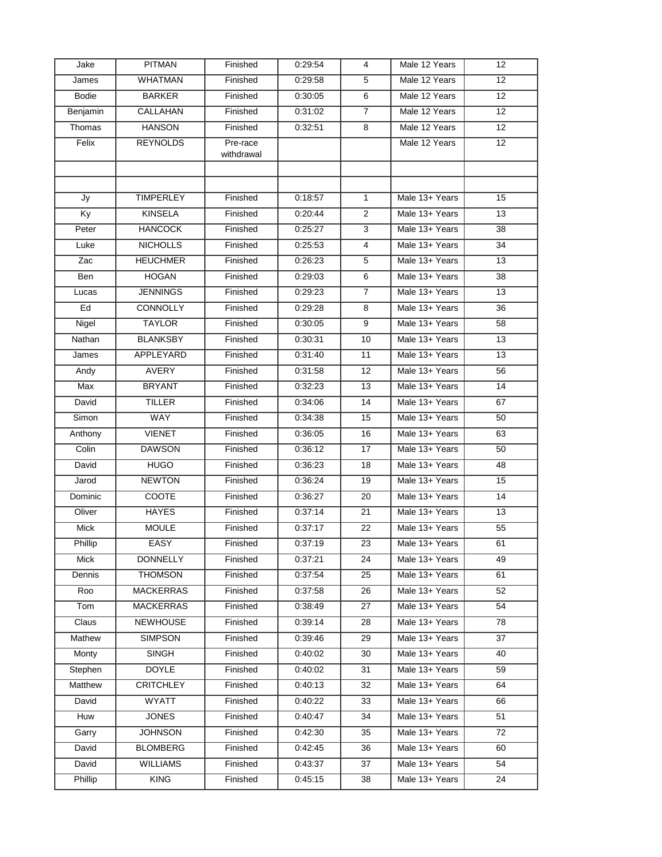| Jake         | <b>PITMAN</b>    | Finished               | 0:29:54 | 4               | Male 12 Years  | $12 \overline{ }$ |
|--------------|------------------|------------------------|---------|-----------------|----------------|-------------------|
| James        | <b>WHATMAN</b>   | Finished               | 0.29.58 | 5               | Male 12 Years  | 12                |
| <b>Bodie</b> | <b>BARKER</b>    | Finished               | 0:30:05 | 6               | Male 12 Years  | 12                |
| Benjamin     | CALLAHAN         | Finished               | 0:31:02 | $\overline{7}$  | Male 12 Years  | 12 <sup>2</sup>   |
| Thomas       | <b>HANSON</b>    | Finished               | 0:32:51 | 8               | Male 12 Years  | 12 <sup>2</sup>   |
| Felix        | <b>REYNOLDS</b>  | Pre-race<br>withdrawal |         |                 | Male 12 Years  | 12                |
|              |                  |                        |         |                 |                |                   |
|              |                  |                        |         |                 |                |                   |
| Jy           | <b>TIMPERLEY</b> | Finished               | 0:18:57 | $\mathbf{1}$    | Male 13+ Years | 15                |
| Ky           | <b>KINSELA</b>   | Finished               | 0.20:44 | 2               | Male 13+ Years | 13                |
| Peter        | <b>HANCOCK</b>   | Finished               | 0.25.27 | 3               | Male 13+ Years | 38                |
| Luke         | <b>NICHOLLS</b>  | Finished               | 0.25.53 | $\overline{4}$  | Male 13+ Years | 34                |
| Zac          | <b>HEUCHMER</b>  | Finished               | 0:26:23 | 5               | Male 13+ Years | 13                |
| Ben          | <b>HOGAN</b>     | Finished               | 0:29:03 | 6               | Male 13+ Years | 38                |
| Lucas        | <b>JENNINGS</b>  | Finished               | 0.29.23 | 7               | Male 13+ Years | 13                |
| Ed           | <b>CONNOLLY</b>  | Finished               | 0:29:28 | 8               | Male 13+ Years | 36                |
| Nigel        | <b>TAYLOR</b>    | Finished               | 0:30:05 | 9               | Male 13+ Years | 58                |
| Nathan       | <b>BLANKSBY</b>  | Finished               | 0:30:31 | 10              | Male 13+ Years | 13                |
| James        | <b>APPLEYARD</b> | Finished               | 0:31:40 | 11              | Male 13+ Years | 13                |
| Andy         | <b>AVERY</b>     | Finished               | 0:31:58 | 12              | Male 13+ Years | 56                |
| Max          | <b>BRYANT</b>    | Finished               | 0:32:23 | 13              | Male 13+ Years | $\overline{14}$   |
| David        | <b>TILLER</b>    | Finished               | 0:34:06 | 14              | Male 13+ Years | 67                |
| Simon        | WAY              | Finished               | 0:34:38 | 15              | Male 13+ Years | 50                |
| Anthony      | <b>VIENET</b>    | Finished               | 0:36:05 | 16              | Male 13+ Years | 63                |
| Colin        | <b>DAWSON</b>    | Finished               | 0:36:12 | 17              | Male 13+ Years | 50                |
| David        | <b>HUGO</b>      | Finished               | 0:36:23 | 18              | Male 13+ Years | 48                |
| Jarod        | <b>NEWTON</b>    | Finished               | 0:36:24 | 19              | Male 13+ Years | 15                |
| Dominic      | COOTE            | Finished               | 0:36:27 | 20              | Male 13+ Years | 14                |
| Oliver       | <b>HAYES</b>     | Finished               | 0.37:14 | 21              | Male 13+ Years | 13                |
| Mick         | <b>MOULE</b>     | Finished               | 0:37:17 | 22              | Male 13+ Years | 55                |
| Phillip      | <b>EASY</b>      | Finished               | 0:37:19 | $\overline{23}$ | Male 13+ Years | 61                |
| Mick         | <b>DONNELLY</b>  | Finished               | 0:37:21 | 24              | Male 13+ Years | 49                |
| Dennis       | <b>THOMSON</b>   | Finished               | 0.37:54 | 25              | Male 13+ Years | 61                |
| Roo          | <b>MACKERRAS</b> | Finished               | 0.37:58 | 26              | Male 13+ Years | 52                |
| Tom          | <b>MACKERRAS</b> | Finished               | 0:38:49 | 27              | Male 13+ Years | 54                |
| Claus        | <b>NEWHOUSE</b>  | Finished               | 0:39:14 | 28              | Male 13+ Years | 78                |
| Mathew       | <b>SIMPSON</b>   | Finished               | 0:39:46 | 29              | Male 13+ Years | 37                |
| Monty        | <b>SINGH</b>     | Finished               | 0.40:02 | 30              | Male 13+ Years | 40                |
| Stephen      | <b>DOYLE</b>     | Finished               | 0:40:02 | 31              | Male 13+ Years | 59                |
| Matthew      | <b>CRITCHLEY</b> | Finished               | 0:40:13 | 32              | Male 13+ Years | 64                |
| David        | <b>WYATT</b>     | Finished               | 0:40:22 | 33              | Male 13+ Years | 66                |
| Huw          | <b>JONES</b>     | Finished               | 0.40.47 | 34              | Male 13+ Years | 51                |
| Garry        | <b>JOHNSON</b>   | Finished               | 0:42:30 | 35              | Male 13+ Years | 72                |
| David        | <b>BLOMBERG</b>  | Finished               | 0.42:45 | 36              | Male 13+ Years | 60                |
| David        | <b>WILLIAMS</b>  | Finished               | 0:43:37 | 37              | Male 13+ Years | 54                |
| Phillip      | <b>KING</b>      | Finished               | 0:45:15 | 38              | Male 13+ Years | 24                |